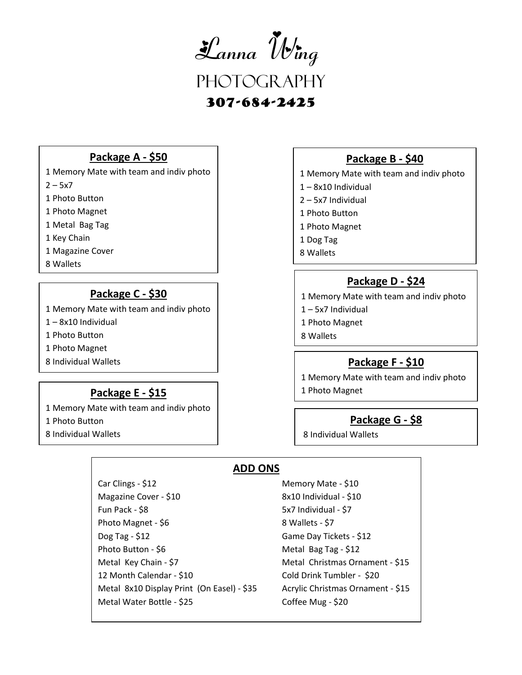

307-684-2425

#### **Package A - \$50**

1 Memory Mate with team and indiv photo

 $2 - 5x7$ 

1 Photo Button

1 Photo Magnet

1 Metal Bag Tag

1 Key Chain

1 Magazine Cover

8 Wallets

## **Package C - \$30**

1 Memory Mate with team and indiv photo

1 – 8x10 Individual

1 Photo Button

1 Photo Magnet

8 Individual Wallets

### **Package E - \$15**

1 Memory Mate with team and indiv photo

1 Photo Button

8 Individual Wallets

## **Package B - \$40**

1 Memory Mate with team and indiv photo

- 1 8x10 Individual
- 2 5x7 Individual
- 1 Photo Button
- 1 Photo Magnet
- 1 Dog Tag
- 8 Wallets

# **Package D - \$24**

- 1 Memory Mate with team and indiv photo
- 1 5x7 Individual
- 1 Photo Magnet
- 8 Wallets

# **Package F - \$10**

1 Memory Mate with team and indiv photo

1 Photo Magnet

#### **Package G - \$8**

8 Individual Wallets

## **ADD ONS**

Car Clings - \$12 Memory Mate - \$10 Magazine Cover - \$10 8x10 Individual - \$10 Fun Pack - \$8 5x7 Individual - \$7 Photo Magnet - \$6 8 Wallets - \$7 Dog Tag - \$12 Game Day Tickets - \$12 Photo Button - \$6 Metal Bag Tag - \$12 Metal Key Chain - \$7 Metal Christmas Ornament - \$15 12 Month Calendar - \$10 Cold Drink Tumbler - \$20 Metal 8x10 Display Print (On Easel) - \$35 Acrylic Christmas Ornament - \$15 Metal Water Bottle - \$25 Coffee Mug - \$20